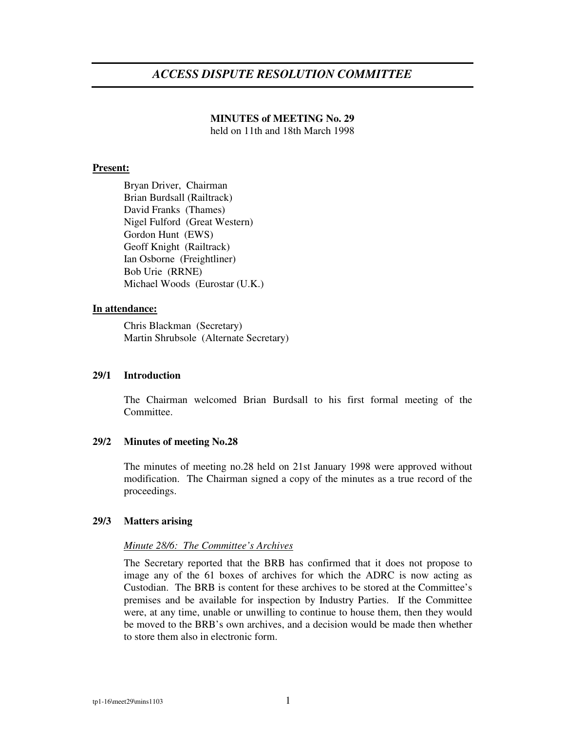## *ACCESS DISPUTE RESOLUTION COMMITTEE*

# **MINUTES of MEETING No. 29**

held on 11th and 18th March 1998

## **Present:**

Bryan Driver, Chairman Brian Burdsall (Railtrack) David Franks (Thames) Nigel Fulford (Great Western) Gordon Hunt (EWS) Geoff Knight (Railtrack) Ian Osborne (Freightliner) Bob Urie (RRNE) Michael Woods (Eurostar (U.K.)

## **In attendance:**

Chris Blackman (Secretary) Martin Shrubsole (Alternate Secretary)

## **29/1 Introduction**

The Chairman welcomed Brian Burdsall to his first formal meeting of the Committee.

## **29/2 Minutes of meeting No.28**

The minutes of meeting no.28 held on 21st January 1998 were approved without modification. The Chairman signed a copy of the minutes as a true record of the proceedings.

#### **29/3 Matters arising**

## *Minute 28/6: The Committee's Archives*

The Secretary reported that the BRB has confirmed that it does not propose to image any of the 61 boxes of archives for which the ADRC is now acting as Custodian. The BRB is content for these archives to be stored at the Committee's premises and be available for inspection by Industry Parties. If the Committee were, at any time, unable or unwilling to continue to house them, then they would be moved to the BRB's own archives, and a decision would be made then whether to store them also in electronic form.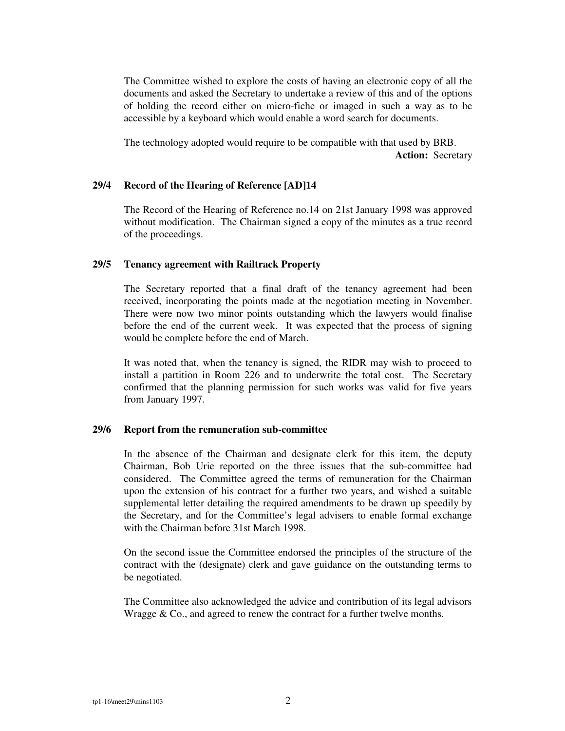The Committee wished to explore the costs of having an electronic copy of all the documents and asked the Secretary to undertake a review of this and of the options of holding the record either on micro-fiche or imaged in such a way as to be accessible by a keyboard which would enable a word search for documents.

The technology adopted would require to be compatible with that used by BRB. **Action:** Secretary

#### **29/4 Record of the Hearing of Reference [AD]14**

The Record of the Hearing of Reference no.14 on 21st January 1998 was approved without modification. The Chairman signed a copy of the minutes as a true record of the proceedings.

## **29/5 Tenancy agreement with Railtrack Property**

The Secretary reported that a final draft of the tenancy agreement had been received, incorporating the points made at the negotiation meeting in November. There were now two minor points outstanding which the lawyers would finalise before the end of the current week. It was expected that the process of signing would be complete before the end of March.

It was noted that, when the tenancy is signed, the RIDR may wish to proceed to install a partition in Room 226 and to underwrite the total cost. The Secretary confirmed that the planning permission for such works was valid for five years from January 1997.

#### **29/6 Report from the remuneration sub-committee**

In the absence of the Chairman and designate clerk for this item, the deputy Chairman, Bob Urie reported on the three issues that the sub-committee had considered. The Committee agreed the terms of remuneration for the Chairman upon the extension of his contract for a further two years, and wished a suitable supplemental letter detailing the required amendments to be drawn up speedily by the Secretary, and for the Committee's legal advisers to enable formal exchange with the Chairman before 31st March 1998.

On the second issue the Committee endorsed the principles of the structure of the contract with the (designate) clerk and gave guidance on the outstanding terms to be negotiated.

The Committee also acknowledged the advice and contribution of its legal advisors Wragge & Co., and agreed to renew the contract for a further twelve months.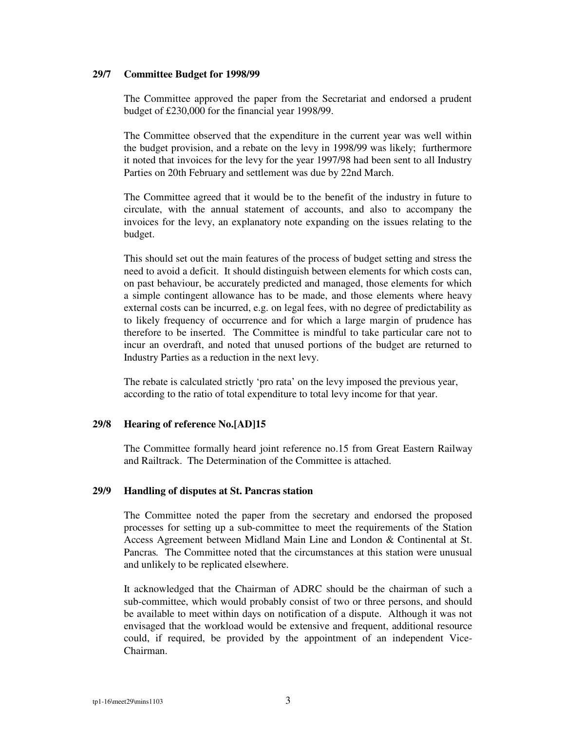#### **29/7 Committee Budget for 1998/99**

The Committee approved the paper from the Secretariat and endorsed a prudent budget of £230,000 for the financial year 1998/99.

The Committee observed that the expenditure in the current year was well within the budget provision, and a rebate on the levy in 1998/99 was likely; furthermore it noted that invoices for the levy for the year 1997/98 had been sent to all Industry Parties on 20th February and settlement was due by 22nd March.

The Committee agreed that it would be to the benefit of the industry in future to circulate, with the annual statement of accounts, and also to accompany the invoices for the levy, an explanatory note expanding on the issues relating to the budget.

This should set out the main features of the process of budget setting and stress the need to avoid a deficit. It should distinguish between elements for which costs can, on past behaviour, be accurately predicted and managed, those elements for which a simple contingent allowance has to be made, and those elements where heavy external costs can be incurred, e.g. on legal fees, with no degree of predictability as to likely frequency of occurrence and for which a large margin of prudence has therefore to be inserted. The Committee is mindful to take particular care not to incur an overdraft, and noted that unused portions of the budget are returned to Industry Parties as a reduction in the next levy.

The rebate is calculated strictly 'pro rata' on the levy imposed the previous year, according to the ratio of total expenditure to total levy income for that year.

## **29/8 Hearing of reference No.[AD]15**

The Committee formally heard joint reference no.15 from Great Eastern Railway and Railtrack. The Determination of the Committee is attached.

#### **29/9 Handling of disputes at St. Pancras station**

The Committee noted the paper from the secretary and endorsed the proposed processes for setting up a sub-committee to meet the requirements of the Station Access Agreement between Midland Main Line and London & Continental at St. Pancras*.* The Committee noted that the circumstances at this station were unusual and unlikely to be replicated elsewhere.

It acknowledged that the Chairman of ADRC should be the chairman of such a sub-committee, which would probably consist of two or three persons, and should be available to meet within days on notification of a dispute. Although it was not envisaged that the workload would be extensive and frequent, additional resource could, if required, be provided by the appointment of an independent Vice-Chairman.